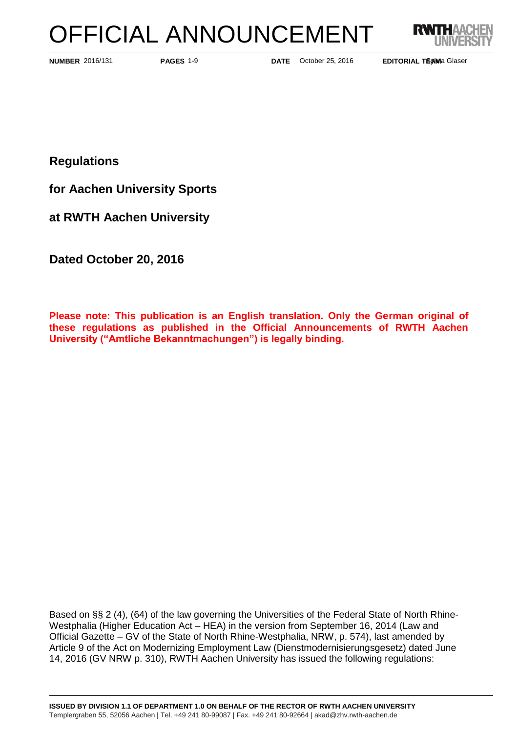# OFFICIAL ANNOUNCEMENT



**PAGES** 1-9

**NUMBER** 2016/131 **PAGES** 1-9 **DATE** October 25, 2016

**EDITORIAL TEAMa Glaser** 

**Regulations**

**for Aachen University Sports**

**at RWTH Aachen University**

**Dated October 20, 2016**

**Please note: This publication is an English translation. Only the German original of these regulations as published in the Official Announcements of RWTH Aachen University ("Amtliche Bekanntmachungen") is legally binding.**

Based on §§ 2 (4), (64) of the law governing the Universities of the Federal State of North Rhine-Westphalia (Higher Education Act – HEA) in the version from September 16, 2014 (Law and Official Gazette – GV of the State of North Rhine-Westphalia, NRW, p. 574), last amended by Article 9 of the Act on Modernizing Employment Law (Dienstmodernisierungsgesetz) dated June 14, 2016 (GV NRW p. 310), RWTH Aachen University has issued the following regulations: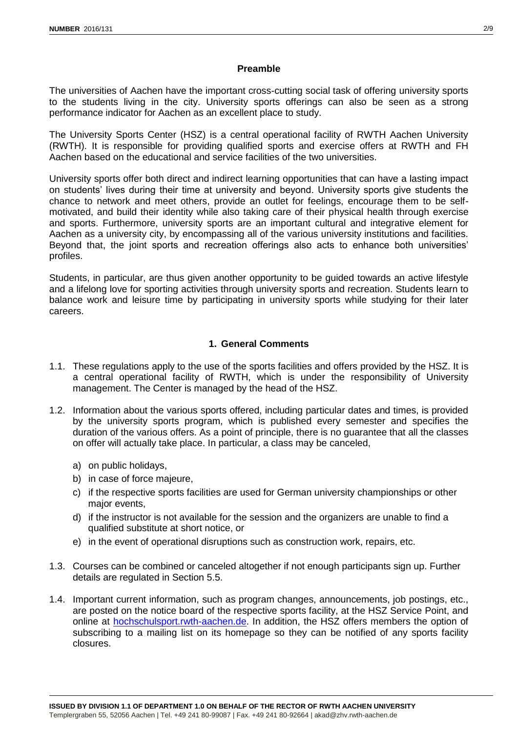#### **Preamble**

The universities of Aachen have the important cross-cutting social task of offering university sports to the students living in the city. University sports offerings can also be seen as a strong performance indicator for Aachen as an excellent place to study.

The University Sports Center (HSZ) is a central operational facility of RWTH Aachen University (RWTH). It is responsible for providing qualified sports and exercise offers at RWTH and FH Aachen based on the educational and service facilities of the two universities.

University sports offer both direct and indirect learning opportunities that can have a lasting impact on students' lives during their time at university and beyond. University sports give students the chance to network and meet others, provide an outlet for feelings, encourage them to be selfmotivated, and build their identity while also taking care of their physical health through exercise and sports. Furthermore, university sports are an important cultural and integrative element for Aachen as a university city, by encompassing all of the various university institutions and facilities. Beyond that, the joint sports and recreation offerings also acts to enhance both universities' profiles.

Students, in particular, are thus given another opportunity to be guided towards an active lifestyle and a lifelong love for sporting activities through university sports and recreation. Students learn to balance work and leisure time by participating in university sports while studying for their later careers.

## **1. General Comments**

- 1.1. These regulations apply to the use of the sports facilities and offers provided by the HSZ. It is a central operational facility of RWTH, which is under the responsibility of University management. The Center is managed by the head of the HSZ.
- 1.2. Information about the various sports offered, including particular dates and times, is provided by the university sports program, which is published every semester and specifies the duration of the various offers. As a point of principle, there is no guarantee that all the classes on offer will actually take place. In particular, a class may be canceled,
	- a) on public holidays,
	- b) in case of force majeure,
	- c) if the respective sports facilities are used for German university championships or other major events,
	- d) if the instructor is not available for the session and the organizers are unable to find a qualified substitute at short notice, or
	- e) in the event of operational disruptions such as construction work, repairs, etc.
- 1.3. Courses can be combined or canceled altogether if not enough participants sign up. Further details are regulated in Section 5.5.
- 1.4. Important current information, such as program changes, announcements, job postings, etc., are posted on the notice board of the respective sports facility, at the HSZ Service Point, and online at **hochschulsport.rwth-aachen.de**. In addition, the HSZ offers members the option of subscribing to a mailing list on its homepage so they can be notified of any sports facility closures.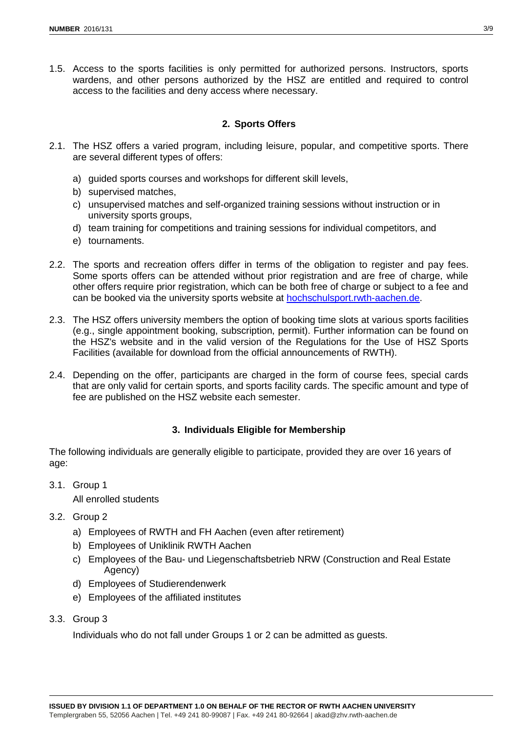1.5. Access to the sports facilities is only permitted for authorized persons. Instructors, sports wardens, and other persons authorized by the HSZ are entitled and required to control access to the facilities and deny access where necessary.

## **2. Sports Offers**

- 2.1. The HSZ offers a varied program, including leisure, popular, and competitive sports. There are several different types of offers:
	- a) guided sports courses and workshops for different skill levels,
	- b) supervised matches,
	- c) unsupervised matches and self-organized training sessions without instruction or in university sports groups,
	- d) team training for competitions and training sessions for individual competitors, and
	- e) tournaments.
- 2.2. The sports and recreation offers differ in terms of the obligation to register and pay fees. Some sports offers can be attended without prior registration and are free of charge, while other offers require prior registration, which can be both free of charge or subject to a fee and can be booked via the university sports website at [hochschulsport.rwth-aachen.de.](hochschulsport.rwth-aachen.de)
- 2.3. The HSZ offers university members the option of booking time slots at various sports facilities (e.g., single appointment booking, subscription, permit). Further information can be found on the HSZ's website and in the valid version of the Regulations for the Use of HSZ Sports Facilities (available for download from the official announcements of RWTH).
- 2.4. Depending on the offer, participants are charged in the form of course fees, special cards that are only valid for certain sports, and sports facility cards. The specific amount and type of fee are published on the HSZ website each semester.

#### **3. Individuals Eligible for Membership**

The following individuals are generally eligible to participate, provided they are over 16 years of age:

3.1. Group 1

All enrolled students

- 3.2. Group 2
	- a) Employees of RWTH and FH Aachen (even after retirement)
	- b) Employees of Uniklinik RWTH Aachen
	- c) Employees of the Bau- und Liegenschaftsbetrieb NRW (Construction and Real Estate Agency)
	- d) Employees of Studierendenwerk
	- e) Employees of the affiliated institutes
- 3.3. Group 3

Individuals who do not fall under Groups 1 or 2 can be admitted as guests.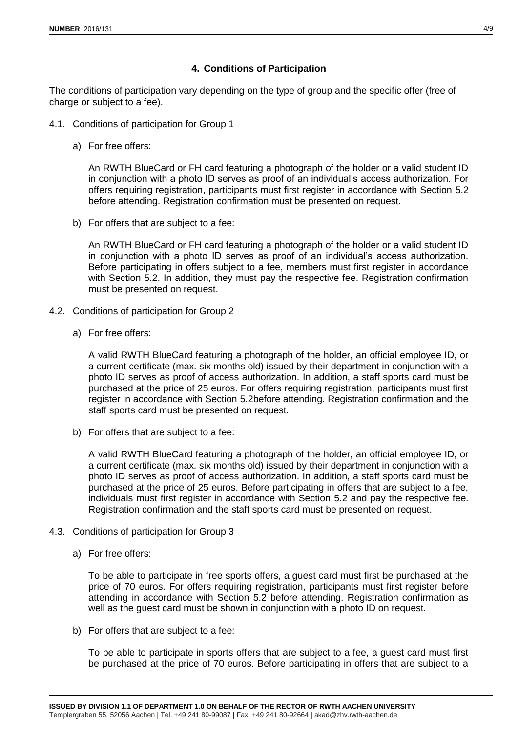# **4. Conditions of Participation**

The conditions of participation vary depending on the type of group and the specific offer (free of charge or subject to a fee).

- 4.1. Conditions of participation for Group 1
	- a) For free offers:

An RWTH BlueCard or FH card featuring a photograph of the holder or a valid student ID in conjunction with a photo ID serves as proof of an individual's access authorization. For offers requiring registration, participants must first register in accordance with Section [5.2](#page-4-0) before attending. Registration confirmation must be presented on request.

b) For offers that are subject to a fee:

An RWTH BlueCard or FH card featuring a photograph of the holder or a valid student ID in conjunction with a photo ID serves as proof of an individual's access authorization. Before participating in offers subject to a fee, members must first register in accordance with Section [5.2.](#page-4-0) In addition, they must pay the respective fee. Registration confirmation must be presented on request.

- 4.2. Conditions of participation for Group 2
	- a) For free offers:

A valid RWTH BlueCard featuring a photograph of the holder, an official employee ID, or a current certificate (max. six months old) issued by their department in conjunction with a photo ID serves as proof of access authorization. In addition, a staff sports card must be purchased at the price of 25 euros. For offers requiring registration, participants must first register in accordance with Section [5.2b](#page-4-0)efore attending. Registration confirmation and the staff sports card must be presented on request.

b) For offers that are subject to a fee:

A valid RWTH BlueCard featuring a photograph of the holder, an official employee ID, or a current certificate (max. six months old) issued by their department in conjunction with a photo ID serves as proof of access authorization. In addition, a staff sports card must be purchased at the price of 25 euros. Before participating in offers that are subject to a fee, individuals must first register in accordance with Section [5.2](#page-4-0) and pay the respective fee. Registration confirmation and the staff sports card must be presented on request.

- 4.3. Conditions of participation for Group 3
	- a) For free offers:

To be able to participate in free sports offers, a guest card must first be purchased at the price of 70 euros. For offers requiring registration, participants must first register before attending in accordance with Section [5.2](#page-4-0) before attending. Registration confirmation as well as the guest card must be shown in conjunction with a photo ID on request.

b) For offers that are subject to a fee:

To be able to participate in sports offers that are subject to a fee, a guest card must first be purchased at the price of 70 euros. Before participating in offers that are subject to a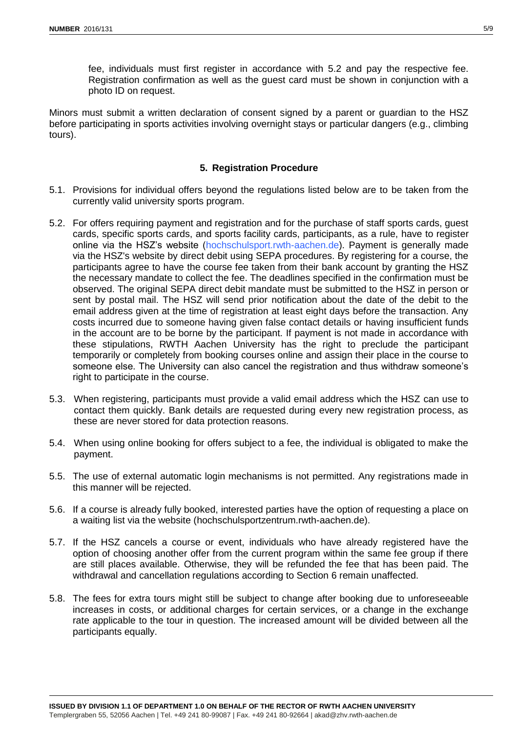fee, individuals must first register in accordance with [5.2](#page-4-0) and pay the respective fee. Registration confirmation as well as the guest card must be shown in conjunction with a photo ID on request.

Minors must submit a written declaration of consent signed by a parent or guardian to the HSZ before participating in sports activities involving overnight stays or particular dangers (e.g., climbing tours).

## **5. Registration Procedure**

- 5.1. Provisions for individual offers beyond the regulations listed below are to be taken from the currently valid university sports program.
- <span id="page-4-0"></span>5.2. For offers requiring payment and registration and for the purchase of staff sports cards, guest cards, specific sports cards, and sports facility cards, participants, as a rule, have to register online via the HSZ's website [\(hochschulsport.rwth-aachen.de\)](http://hochschulsport.rwth-aachen.de/). Payment is generally made via the HSZ's website by direct debit using SEPA procedures. By registering for a course, the participants agree to have the course fee taken from their bank account by granting the HSZ the necessary mandate to collect the fee. The deadlines specified in the confirmation must be observed. The original SEPA direct debit mandate must be submitted to the HSZ in person or sent by postal mail. The HSZ will send prior notification about the date of the debit to the email address given at the time of registration at least eight days before the transaction. Any costs incurred due to someone having given false contact details or having insufficient funds in the account are to be borne by the participant. If payment is not made in accordance with these stipulations, RWTH Aachen University has the right to preclude the participant temporarily or completely from booking courses online and assign their place in the course to someone else. The University can also cancel the registration and thus withdraw someone's right to participate in the course.
- 5.3. When registering, participants must provide a valid email address which the HSZ can use to contact them quickly. Bank details are requested during every new registration process, as these are never stored for data protection reasons.
- 5.4. When using online booking for offers subject to a fee, the individual is obligated to make the payment.
- 5.5. The use of external automatic login mechanisms is not permitted. Any registrations made in this manner will be rejected.
- 5.6. If a course is already fully booked, interested parties have the option of requesting a place on a waiting list via the website (hochschulsportzentrum.rwth-aachen.de).
- 5.7. If the HSZ cancels a course or event, individuals who have already registered have the option of choosing another offer from the current program within the same fee group if there are still places available. Otherwise, they will be refunded the fee that has been paid. The withdrawal and cancellation regulations according to Section [6](#page-5-0) remain unaffected.
- 5.8. The fees for extra tours might still be subject to change after booking due to unforeseeable increases in costs, or additional charges for certain services, or a change in the exchange rate applicable to the tour in question. The increased amount will be divided between all the participants equally.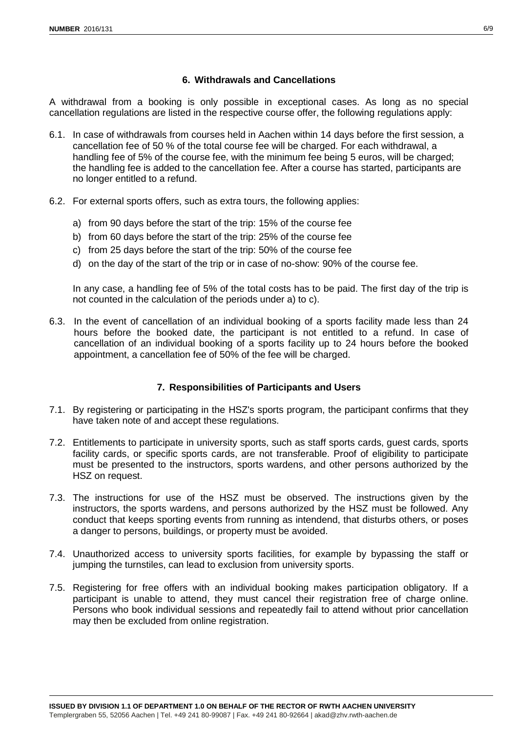# **6. Withdrawals and Cancellations**

<span id="page-5-0"></span>A withdrawal from a booking is only possible in exceptional cases. As long as no special cancellation regulations are listed in the respective course offer, the following regulations apply:

- 6.1. In case of withdrawals from courses held in Aachen within 14 days before the first session, a cancellation fee of 50 % of the total course fee will be charged. For each withdrawal, a handling fee of 5% of the course fee, with the minimum fee being 5 euros, will be charged; the handling fee is added to the cancellation fee. After a course has started, participants are no longer entitled to a refund.
- 6.2. For external sports offers, such as extra tours, the following applies:
	- a) from 90 days before the start of the trip: 15% of the course fee
	- b) from 60 days before the start of the trip: 25% of the course fee
	- c) from 25 days before the start of the trip: 50% of the course fee
	- d) on the day of the start of the trip or in case of no-show: 90% of the course fee.

In any case, a handling fee of 5% of the total costs has to be paid. The first day of the trip is not counted in the calculation of the periods under a) to c).

6.3. In the event of cancellation of an individual booking of a sports facility made less than 24 hours before the booked date, the participant is not entitled to a refund. In case of cancellation of an individual booking of a sports facility up to 24 hours before the booked appointment, a cancellation fee of 50% of the fee will be charged.

## **7. Responsibilities of Participants and Users**

- 7.1. By registering or participating in the HSZ's sports program, the participant confirms that they have taken note of and accept these regulations.
- 7.2. Entitlements to participate in university sports, such as staff sports cards, guest cards, sports facility cards, or specific sports cards, are not transferable. Proof of eligibility to participate must be presented to the instructors, sports wardens, and other persons authorized by the HSZ on request.
- 7.3. The instructions for use of the HSZ must be observed. The instructions given by the instructors, the sports wardens, and persons authorized by the HSZ must be followed. Any conduct that keeps sporting events from running as intendend, that disturbs others, or poses a danger to persons, buildings, or property must be avoided.
- 7.4. Unauthorized access to university sports facilities, for example by bypassing the staff or jumping the turnstiles, can lead to exclusion from university sports.
- 7.5. Registering for free offers with an individual booking makes participation obligatory. If a participant is unable to attend, they must cancel their registration free of charge online. Persons who book individual sessions and repeatedly fail to attend without prior cancellation may then be excluded from online registration.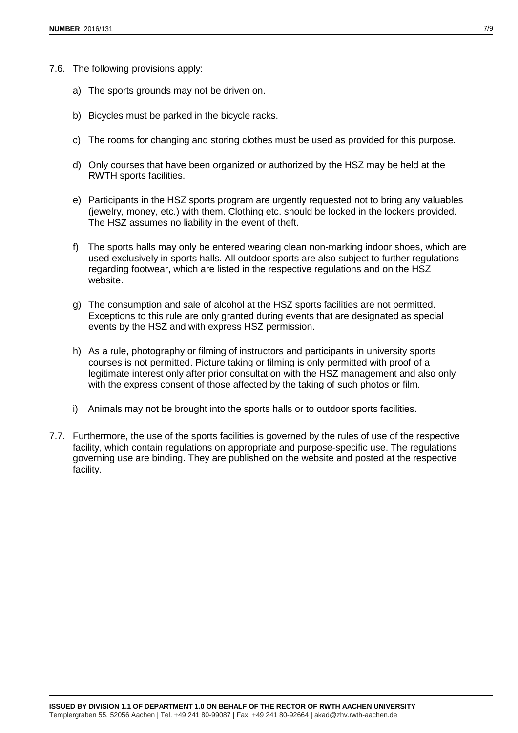- 7.6. The following provisions apply:
	- a) The sports grounds may not be driven on.
	- b) Bicycles must be parked in the bicycle racks.
	- c) The rooms for changing and storing clothes must be used as provided for this purpose.
	- d) Only courses that have been organized or authorized by the HSZ may be held at the RWTH sports facilities.
	- e) Participants in the HSZ sports program are urgently requested not to bring any valuables (jewelry, money, etc.) with them. Clothing etc. should be locked in the lockers provided. The HSZ assumes no liability in the event of theft.
	- f) The sports halls may only be entered wearing clean non-marking indoor shoes, which are used exclusively in sports halls. All outdoor sports are also subject to further regulations regarding footwear, which are listed in the respective regulations and on the HSZ website.
	- g) The consumption and sale of alcohol at the HSZ sports facilities are not permitted. Exceptions to this rule are only granted during events that are designated as special events by the HSZ and with express HSZ permission.
	- h) As a rule, photography or filming of instructors and participants in university sports courses is not permitted. Picture taking or filming is only permitted with proof of a legitimate interest only after prior consultation with the HSZ management and also only with the express consent of those affected by the taking of such photos or film.
	- i) Animals may not be brought into the sports halls or to outdoor sports facilities.
- 7.7. Furthermore, the use of the sports facilities is governed by the rules of use of the respective facility, which contain regulations on appropriate and purpose-specific use. The regulations governing use are binding. They are published on the website and posted at the respective facility.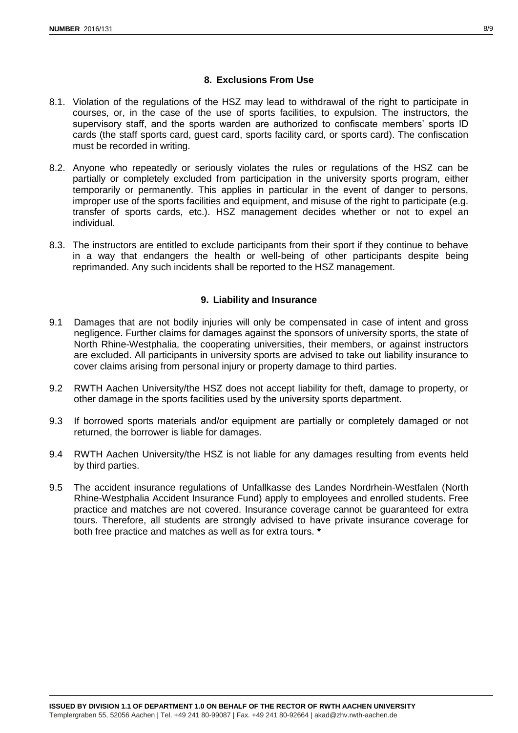# **8. Exclusions From Use**

- 8.1. Violation of the regulations of the HSZ may lead to withdrawal of the right to participate in courses, or, in the case of the use of sports facilities, to expulsion. The instructors, the supervisory staff, and the sports warden are authorized to confiscate members' sports ID cards (the staff sports card, guest card, sports facility card, or sports card). The confiscation must be recorded in writing.
- 8.2. Anyone who repeatedly or seriously violates the rules or regulations of the HSZ can be partially or completely excluded from participation in the university sports program, either temporarily or permanently. This applies in particular in the event of danger to persons, improper use of the sports facilities and equipment, and misuse of the right to participate (e.g. transfer of sports cards, etc.). HSZ management decides whether or not to expel an individual.
- 8.3. The instructors are entitled to exclude participants from their sport if they continue to behave in a way that endangers the health or well-being of other participants despite being reprimanded. Any such incidents shall be reported to the HSZ management.

## **9. Liability and Insurance**

- 9.1 Damages that are not bodily injuries will only be compensated in case of intent and gross negligence. Further claims for damages against the sponsors of university sports, the state of North Rhine-Westphalia, the cooperating universities, their members, or against instructors are excluded. All participants in university sports are advised to take out liability insurance to cover claims arising from personal injury or property damage to third parties.
- 9.2 RWTH Aachen University/the HSZ does not accept liability for theft, damage to property, or other damage in the sports facilities used by the university sports department.
- 9.3 If borrowed sports materials and/or equipment are partially or completely damaged or not returned, the borrower is liable for damages.
- 9.4 RWTH Aachen University/the HSZ is not liable for any damages resulting from events held by third parties.
- 9.5 The accident insurance regulations of Unfallkasse des Landes Nordrhein-Westfalen (North Rhine-Westphalia Accident Insurance Fund) apply to employees and enrolled students. Free practice and matches are not covered. Insurance coverage cannot be guaranteed for extra tours. Therefore, all students are strongly advised to have private insurance coverage for both free practice and matches as well as for extra tours. **\***